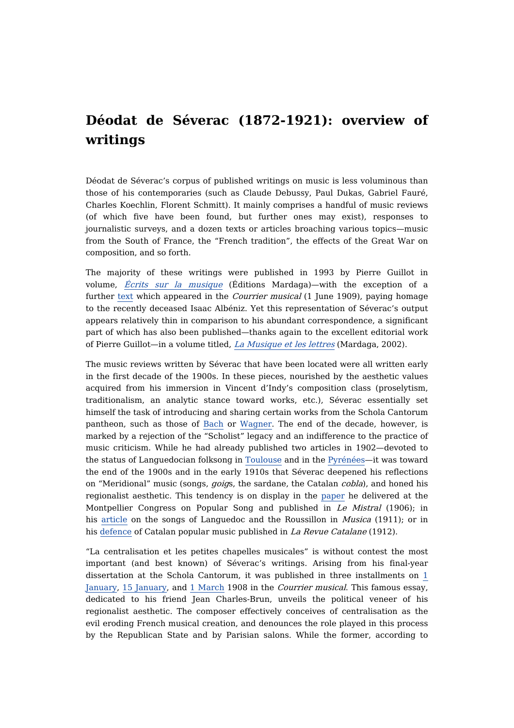## **Déodat de Séverac (1872-1921): overview of writings**

Déodat de Séverac's corpus of published writings on music is less voluminous than those of his contemporaries (such as Claude Debussy, Paul Dukas, Gabriel Fauré, Charles Koechlin, Florent Schmitt). It mainly comprises a handful of music reviews (of which five have been found, but further ones may exist), responses to journalistic surveys, and a dozen texts or articles broaching various topics—music from the South of France, the "French tradition", the effects of the Great War on composition, and so forth.

The majority of these writings were published in 1993 by Pierre Guillot in volume, Écrits sur la [musique](https://dicteco.huma-num.fr/anthology/24616?_cwmsgid=2c6bd52860a04d3c842a241f0b48671d) (Éditions Mardaga)—with the exception of a further [text](https://dicteco.huma-num.fr/fr/article/25125) which appeared in the *Courrier musical* (1 June 1909), paying homage to the recently deceased Isaac Albéniz. Yet this representation of Séverac's output appears relatively thin in comparison to his abundant correspondence, a significant part of which has also been published—thanks again to the excellent editorial work of Pierre Guillot—in a volume titled, La [Musique](https://dicteco.huma-num.fr/anthology/24622?_cwmsgid=bed343d022cd4ab6b446252109df29c7) et les lettres (Mardaga, 2002).

The music reviews written by Séverac that have been located were all written early in the first decade of the 1900s. In these pieces, nourished by the aesthetic values acquired from his immersion in Vincent d'Indy's composition class (proselytism, traditionalism, an analytic stance toward works, etc.), Séverac essentially set himself the task of introducing and sharing certain works from the Schola Cantorum pantheon, such as those of [Bach](https://dicteco.huma-num.fr/fr/article/25143) or [Wagner](https://dicteco.huma-num.fr/fr/article/25134). The end of the decade, however, is marked by a rejection of the "Scholist" legacy and an indifference to the practice of music criticism. While he had already published two articles in 1902—devoted to the status of Languedocian folksong in [Toulouse](https://dicteco.huma-num.fr/fr/article/25149) and in the [Pyrénées](https://dicteco.huma-num.fr/fr/article/25155)—it was toward the end of the 1900s and in the early 1910s that Séverac deepened his reflections on "Meridional" music (songs, *goigs*, the sardane, the Catalan *cobla*), and honed his regionalist aesthetic. This tendency is on display in the [paper](https://dicteco.huma-num.fr/fr/article/25163) he delivered at the Montpellier Congress on Popular Song and published in Le Mistral (1906); in his [article](https://dicteco.huma-num.fr/fr/article/25169) on the songs of Languedoc and the Roussillon in *Musica* (1911); or in his [defence](https://dicteco.huma-num.fr/fr/article/25182) of Catalan popular music published in La Revue Catalane (1912).

"La centralisation et les petites chapelles musicales" is without contest the most important (and best known) of Séverac's writings. Arising from his final-year dissertation at the Schola Cantorum, it was published in three [installments](https://dicteco.huma-num.fr/fr/article/25188) on 1 [January,](https://dicteco.huma-num.fr/fr/article/25193) 15 January, and 1 [March](https://dicteco.huma-num.fr/fr/article/25200) 1908 in the *Courrier musical*. This famous essay, dedicated to his friend Jean Charles-Brun, unveils the political veneer of his regionalist aesthetic. The composer effectively conceives of centralisation as the evil eroding French musical creation, and denounces the role played in this process by the Republican State and by Parisian salons. While the former, according to